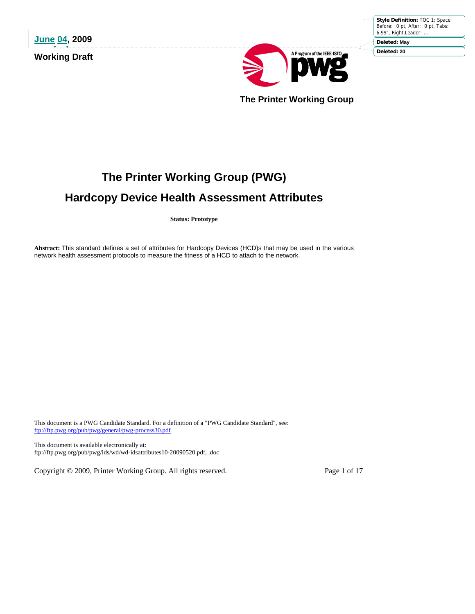**June 04, 2009 Working Draft** 

**Style Definition:** TOC 1: Space Before: 0 pt, After: 0 pt, Tabs: 6.99", Right,Leader: … **Deleted: May**

**Deleted: 20**



 **The Printer Working Group** 

# **The Printer Working Group (PWG)**

# **Hardcopy Device Health Assessment Attributes**

**Status: Prototype** 

**Abstract:** This standard defines a set of attributes for Hardcopy Devices (HCD)s that may be used in the various network health assessment protocols to measure the fitness of a HCD to attach to the network.

This document is a PWG Candidate Standard. For a definition of a "PWG Candidate Standard", see: ftp://ftp.pwg.org/pub/pwg/general/pwg-process30.pdf

This document is available electronically at: ftp://ftp.pwg.org/pub/pwg/ids/wd/wd-idsattributes10-20090520.pdf, .doc

Copyright © 2009, Printer Working Group. All rights reserved. Page 1 of 17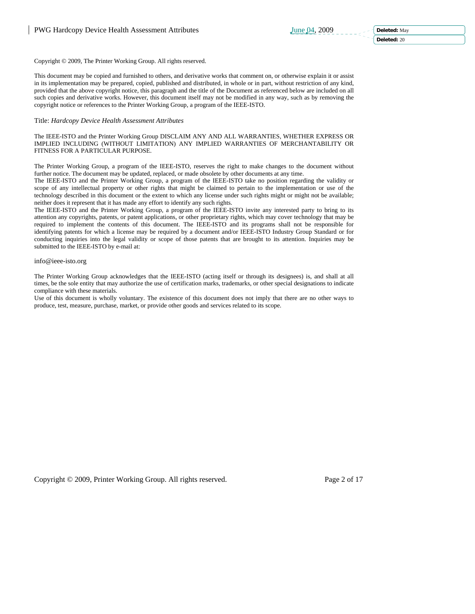Copyright © 2009, The Printer Working Group. All rights reserved.

This document may be copied and furnished to others, and derivative works that comment on, or otherwise explain it or assist in its implementation may be prepared, copied, published and distributed, in whole or in part, without restriction of any kind, provided that the above copyright notice, this paragraph and the title of the Document as referenced below are included on all such copies and derivative works. However, this document itself may not be modified in any way, such as by removing the copyright notice or references to the Printer Working Group, a program of the IEEE-ISTO.

# Title: *Hardcopy Device Health Assessment Attributes*

The IEEE-ISTO and the Printer Working Group DISCLAIM ANY AND ALL WARRANTIES, WHETHER EXPRESS OR IMPLIED INCLUDING (WITHOUT LIMITATION) ANY IMPLIED WARRANTIES OF MERCHANTABILITY OR FITNESS FOR A PARTICULAR PURPOSE.

The Printer Working Group, a program of the IEEE-ISTO, reserves the right to make changes to the document without further notice. The document may be updated, replaced, or made obsolete by other documents at any time.

The IEEE-ISTO and the Printer Working Group, a program of the IEEE-ISTO take no position regarding the validity or scope of any intellectual property or other rights that might be claimed to pertain to the implementation or use of the technology described in this document or the extent to which any license under such rights might or might not be available; neither does it represent that it has made any effort to identify any such rights.

The IEEE-ISTO and the Printer Working Group, a program of the IEEE-ISTO invite any interested party to bring to its attention any copyrights, patents, or patent applications, or other proprietary rights, which may cover technology that may be required to implement the contents of this document. The IEEE-ISTO and its programs shall not be responsible for identifying patents for which a license may be required by a document and/or IEEE-ISTO Industry Group Standard or for conducting inquiries into the legal validity or scope of those patents that are brought to its attention. Inquiries may be submitted to the IEEE-ISTO by e-mail at:

#### info@ieee-isto.org

The Printer Working Group acknowledges that the IEEE-ISTO (acting itself or through its designees) is, and shall at all times, be the sole entity that may authorize the use of certification marks, trademarks, or other special designations to indicate compliance with these materials.

Use of this document is wholly voluntary. The existence of this document does not imply that there are no other ways to produce, test, measure, purchase, market, or provide other goods and services related to its scope.

Copyright © 2009, Printer Working Group. All rights reserved. Page 2 of 17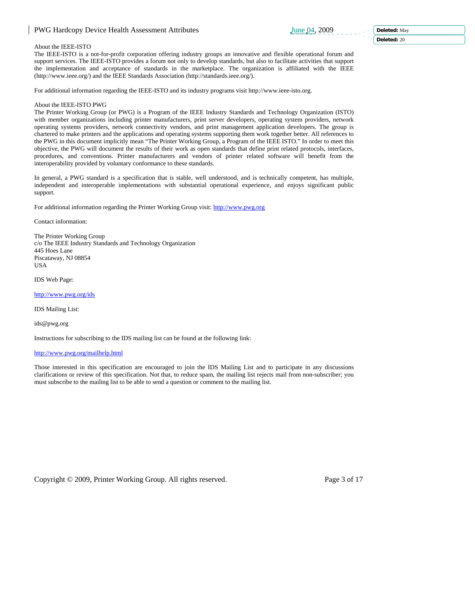#### **Deleted:** 20

#### About the IEEE-ISTO

The IEEE-ISTO is a not-for-profit corporation offering industry groups an innovative and flexible operational forum and support services. The IEEE-ISTO provides a forum not only to develop standards, but also to facilitate activities that support the implementation and acceptance of standards in the marketplace. The organization is affiliated with the IEEE (http://www.ieee.org/) and the IEEE Standards Association (http://standards.ieee.org/).

For additional information regarding the IEEE-ISTO and its industry programs visit http://www.ieee-isto.org.

#### About the IEEE-ISTO PWG

The Printer Working Group (or PWG) is a Program of the IEEE Industry Standards and Technology Organization (ISTO) with member organizations including printer manufacturers, print server developers, operating system providers, network operating systems providers, network connectivity vendors, and print management application developers. The group is chartered to make printers and the applications and operating systems supporting them work together better. All references to the PWG in this document implicitly mean "The Printer Working Group, a Program of the IEEE ISTO." In order to meet this objective, the PWG will document the results of their work as open standards that define print related protocols, interfaces, procedures, and conventions. Printer manufacturers and vendors of printer related software will benefit from the interoperability provided by voluntary conformance to these standards.

In general, a PWG standard is a specification that is stable, well understood, and is technically competent, has multiple, independent and interoperable implementations with substantial operational experience, and enjoys significant public support.

For additional information regarding the Printer Working Group visit: http://www.pwg.org

Contact information:

The Printer Working Group c/o The IEEE Industry Standards and Technology Organization 445 Hoes Lane Piscataway, NJ 08854 USA

IDS Web Page:

http://www.pwg.org/ids

IDS Mailing List:

ids@pwg.org

Instructions for subscribing to the IDS mailing list can be found at the following link:

#### http://www.pwg.org/mailhelp.html

Those interested in this specification are encouraged to join the IDS Mailing List and to participate in any discussions clarifications or review of this specification. Not that, to reduce spam, the mailing list rejects mail from non-subscriber; you must subscribe to the mailing list to be able to send a question or comment to the mailing list.

Copyright © 2009, Printer Working Group. All rights reserved. Page 3 of 17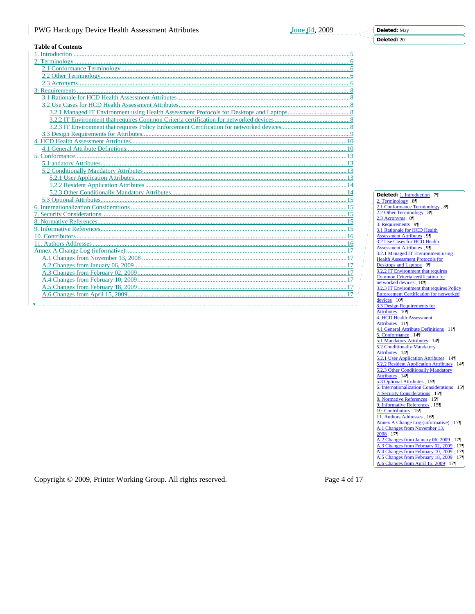**Deleted:** May

**Deleted:** 20

# **Table of Contents**

| таріс от Сопісніз                  |
|------------------------------------|
|                                    |
|                                    |
|                                    |
|                                    |
|                                    |
|                                    |
|                                    |
|                                    |
|                                    |
|                                    |
|                                    |
|                                    |
|                                    |
|                                    |
|                                    |
|                                    |
|                                    |
|                                    |
|                                    |
|                                    |
|                                    |
|                                    |
|                                    |
|                                    |
|                                    |
|                                    |
|                                    |
|                                    |
|                                    |
|                                    |
|                                    |
|                                    |
|                                    |
|                                    |
| <b>1</b> _ _ _ _ _ _ _ _ _ _ _ _ _ |

**Deleted:** 1. Introduction 7¶ 2. Terminology 8 2.1 Conformance Terminology 8 2.2 Other Terminology 8  $2.3$  Acronyms  $8$ 3. Requirements 9 9 3.1 Rationale for HCD Health Assessment Attributes 9 9 9 3.2 Use Cases for HCD Health Assessment Attributes 9 3.2.1 Managed IT Environment using Health Assessment Protocols for Desktops and Laptops 9 3.2.2 IT Environment that requires Common Criteria certification for networked devices 10 3.2.3 IT Environment that requires Policy Enforcement Certification for networked devices 10¶<br>3.3 Design Requirements for Attributes . 10¶<br>4. HCD Health Assessment Attributes 11<sup>¶</sup><br>4.1 General Attribute Definitions 11¶ 5. Conformance 14 5.1 Mandatory Attributes 14 5.2 Conditionally Mandatory Attributes 14<sup>¶</sup><br>5.2.1 User Application Attributes 14¶ 5.2.2 Resident Application Attributes 14 5.2.3 Other Conditionally Mandatory Attributes 14¶<br><u>5.3 Optional Attributes</u> 15¶<br>6. Internationalization Considerations 15¶ 7. Security Considerations 15 8. Normative References . 15¶<br>9. Informative References . 15¶ 10. Contributors 15 11. Authors Addresses 16¶ Annex A Change Log (informative). 17¶<br>A.1 Changes from November 13, 2008 17¶ A.2 Changes from January 06, 2009 17|<br>A.3 Changes from February 02, 2009 17| A.4 Changes from February 10, 2009 17¶ A.5 Changes from February 18, 2009 17¶ A.6 Changes from April 15, 2009 17¶

Copyright © 2009, Printer Working Group. All rights reserved. Page 4 of 17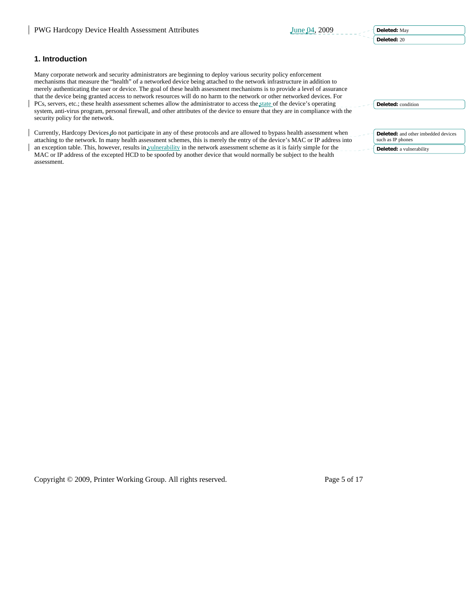**Deleted:** May

**Deleted:** 20

**Deleted:** condition

# **1. Introduction**

Many corporate network and security administrators are beginning to deploy various security policy enforcement mechanisms that measure the "health" of a networked device being attached to the network infrastructure in addition to merely authenticating the user or device. The goal of these health assessment mechanisms is to provide a level of assurance that the device being granted access to network resources will do no harm to the network or other networked devices. For PCs, servers, etc.; these health assessment schemes allow the administrator to access the state of the device's operating system, anti-virus program, personal firewall, and other attributes of the device to ensure that they are in compliance with the security policy for the network.

| Currently, Hardcopy Devices do not participate in any of these protocols and are allowed to bypass health assessment when<br>attaching to the network. In many health assessment schemes, this is merely the entry of the device's MAC or IP address into | <b>Deleted:</b> and other imbedded devices<br>such as IP phones |
|-----------------------------------------------------------------------------------------------------------------------------------------------------------------------------------------------------------------------------------------------------------|-----------------------------------------------------------------|
| an exception table. This, however, results in vulnerability in the network assessment scheme as it is fairly simple for the                                                                                                                               | <b>Deleted:</b> a vulnerability                                 |
| MAC or IP address of the excepted HCD to be spoofed by another device that would normally be subject to the health<br>assessment.                                                                                                                         |                                                                 |

Copyright © 2009, Printer Working Group. All rights reserved. Page 5 of 17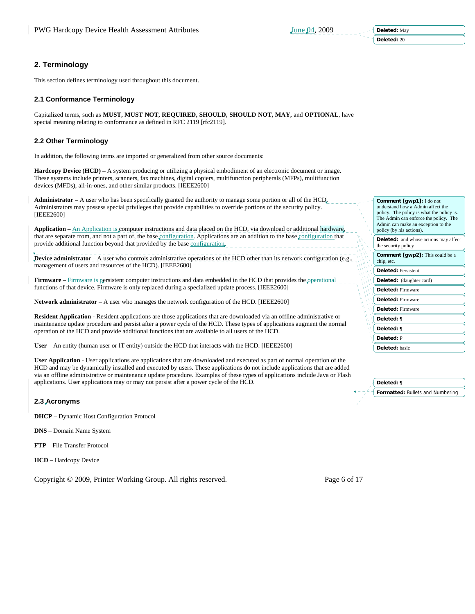# **2. Terminology**

This section defines terminology used throughout this document.

### **2.1 Conformance Terminology**

Capitalized terms, such as **MUST, MUST NOT, REQUIRED, SHOULD, SHOULD NOT, MAY,** and **OPTIONAL**, have special meaning relating to conformance as defined in RFC 2119 [rfc2119].

### **2.2 Other Terminology**

In addition, the following terms are imported or generalized from other source documents:

**Hardcopy Device (HCD) –** A system producing or utilizing a physical embodiment of an electronic document or image. These systems include printers, scanners, fax machines, digital copiers, multifunction peripherals (MFPs), multifunction devices (MFDs), all-in-ones, and other similar products. [IEEE2600]

**Administrator** – A user who has been specifically granted the authority to manage some portion or all of the HCD. Administrators may possess special privileges that provide capabilities to override portions of the security policy. [IEEE2600]

**Application** – An Application is computer instructions and data placed on the HCD, via download or additional hardware that are separate from, and not a part of, the base configuration. Applications are an addition to the base configuration that provide additional function beyond that provided by the base configuration.

**Device administrato**r – A user who controls administrative operations of the HCD other than its network configuration (e.g., management of users and resources of the HCD). [IEEE2600]

**Firmware** – Firmware is persistent computer instructions and data embedded in the HCD that provides the operational functions of that device. Firmware is only replaced during a specialized update process. [IEEE2600]

**Network administrator** – A user who manages the network configuration of the HCD. [IEEE2600]

**Resident Application** - Resident applications are those applications that are downloaded via an offline administrative or maintenance update procedure and persist after a power cycle of the HCD. These types of applications augment the normal operation of the HCD and provide additional functions that are available to all users of the HCD.

**User** – An entity (human user or IT entity) outside the HCD that interacts with the HCD. [IEEE2600]

**User Application** - User applications are applications that are downloaded and executed as part of normal operation of the HCD and may be dynamically installed and executed by users. These applications do not include applications that are added via an offline administrative or maintenance update procedure. Examples of these types of applications include Java or Flash applications. User applications may or may not persist after a power cycle of the HCD.

#### **2.3 Acronyms**

**DHCP –** Dynamic Host Configuration Protocol

**DNS** – Domain Name System

**FTP** – File Transfer Protocol

**HCD –** Hardcopy Device

Copyright © 2009, Printer Working Group. All rights reserved. Page 6 of 17

| Comment [qwp1]: I do not<br>understand how a Admin affect the<br>policy. The policy is what the policy is.<br>The Admin can enforce the policy. The<br>Admin can make an exception to the<br>policy (by his actions). |
|-----------------------------------------------------------------------------------------------------------------------------------------------------------------------------------------------------------------------|
| Deleted: and whose actions may affect<br>the security policy                                                                                                                                                          |
| <b>Comment [gwp2]:</b> This could be a<br>chip, etc.                                                                                                                                                                  |
| <b>Deleted: Persistent</b>                                                                                                                                                                                            |
| Deleted: (daughter card)                                                                                                                                                                                              |
| <b>Deleted: Firmware</b>                                                                                                                                                                                              |
| <b>Deleted: Firmware</b>                                                                                                                                                                                              |
| <b>Deleted: Firmware</b>                                                                                                                                                                                              |
| Deleted: ¶                                                                                                                                                                                                            |
| Deleted: ¶                                                                                                                                                                                                            |
| Deleted: P                                                                                                                                                                                                            |
| Deleted: basic                                                                                                                                                                                                        |
|                                                                                                                                                                                                                       |

**Formatted:** Bullets and Numbering **Deleted:** ¶

**Deleted:** May

**Deleted:** 20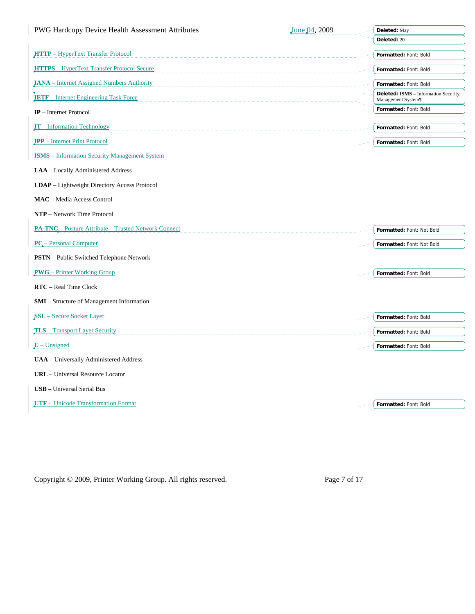| PWG Hardcopy Device Health Assessment Attributes      | June 04, 2009 | Deleted: May                                                     |
|-------------------------------------------------------|---------------|------------------------------------------------------------------|
|                                                       |               | Deleted: 20                                                      |
| <b>HTTP</b> - HyperText Transfer Protocol<br><u>.</u> |               | Formatted: Font: Bold                                            |
| HTTPS - HyperText Transfer Protocol Secure            |               | Formatted: Font: Bold                                            |
| <b>IANA</b> – Internet Assigned Numbers Authority     |               | Formatted: Font: Bold                                            |
| <b>IETF</b> – Internet Engineering Task Force         |               | <b>Deleted: ISMS</b> - Information Security<br>Management System |
| $IP$ – Internet Protocol                              |               | Formatted: Font: Bold                                            |
| $IT$ – Information Technology                         |               | Formatted: Font: Bold                                            |
| <b>IPP</b> – Internet Print Protocol                  |               | Formatted: Font: Bold                                            |
| <b>ISMS</b> – Information Security Management System  |               |                                                                  |
| LAA - Locally Administered Address                    |               |                                                                  |
| <b>LDAP</b> – Lightweight Directory Access Protocol   |               |                                                                  |
| <b>MAC</b> - Media Access Control                     |               |                                                                  |
| NTP - Network Time Protocol                           |               |                                                                  |
| PA-TNC - Posture Attribute - Trusted Network Connect  |               | Formatted: Font: Not Bold                                        |
| <b>PC</b> – Personal Computer                         |               | Formatted: Font: Not Bold                                        |
| <b>PSTN</b> – Public Switched Telephone Network       |               |                                                                  |
| <b>PWG</b> – Printer Working Group                    |               | Formatted: Font: Bold                                            |
| <b>RTC</b> – Real Time Clock                          |               |                                                                  |
| SMI - Structure of Management Information             |               |                                                                  |
| <b>SSL</b> – Secure Socket Layer                      |               | Formatted: Font: Bold                                            |
| <b>TLS</b> – Transport Layer Security                 |               | Formatted: Font: Bold                                            |
| $\mathbf{U}$ – Unsigned                               |               | Formatted: Font: Bold                                            |
| UAA - Universally Administered Address                |               |                                                                  |
| <b>URL</b> - Universal Resource Locator               |               |                                                                  |
| <b>USB</b> - Universal Serial Bus                     |               |                                                                  |
| <b>UTF</b> - Unicode Transformation Format            |               | Formatted: Font: Bold                                            |

Copyright © 2009, Printer Working Group. All rights reserved. Page 7 of 17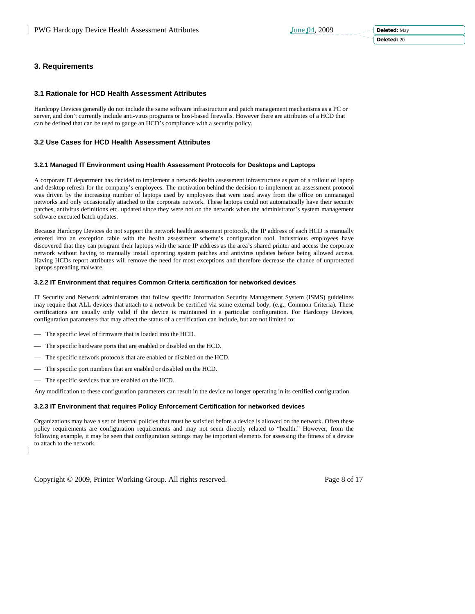# **3. Requirements**

# **3.1 Rationale for HCD Health Assessment Attributes**

Hardcopy Devices generally do not include the same software infrastructure and patch management mechanisms as a PC or server, and don't currently include anti-virus programs or host-based firewalls. However there are attributes of a HCD that can be defined that can be used to gauge an HCD's compliance with a security policy.

# **3.2 Use Cases for HCD Health Assessment Attributes**

# **3.2.1 Managed IT Environment using Health Assessment Protocols for Desktops and Laptops**

A corporate IT department has decided to implement a network health assessment infrastructure as part of a rollout of laptop and desktop refresh for the company's employees. The motivation behind the decision to implement an assessment protocol was driven by the increasing number of laptops used by employees that were used away from the office on unmanaged networks and only occasionally attached to the corporate network. These laptops could not automatically have their security patches, antivirus definitions etc. updated since they were not on the network when the administrator's system management software executed batch updates.

Because Hardcopy Devices do not support the network health assessment protocols, the IP address of each HCD is manually entered into an exception table with the health assessment scheme's configuration tool. Industrious employees have discovered that they can program their laptops with the same IP address as the area's shared printer and access the corporate network without having to manually install operating system patches and antivirus updates before being allowed access. Having HCDs report attributes will remove the need for most exceptions and therefore decrease the chance of unprotected laptops spreading malware.

# **3.2.2 IT Environment that requires Common Criteria certification for networked devices**

IT Security and Network administrators that follow specific Information Security Management System (ISMS) guidelines may require that ALL devices that attach to a network be certified via some external body, (e.g., Common Criteria). These certifications are usually only valid if the device is maintained in a particular configuration. For Hardcopy Devices, configuration parameters that may affect the status of a certification can include, but are not limited to:

- The specific level of firmware that is loaded into the HCD.
- The specific hardware ports that are enabled or disabled on the HCD.
- The specific network protocols that are enabled or disabled on the HCD.
- The specific port numbers that are enabled or disabled on the HCD.
- The specific services that are enabled on the HCD.

Any modification to these configuration parameters can result in the device no longer operating in its certified configuration.

# **3.2.3 IT Environment that requires Policy Enforcement Certification for networked devices**

Organizations may have a set of internal policies that must be satisfied before a device is allowed on the network. Often these policy requirements are configuration requirements and may not seem directly related to "health." However, from the following example, it may be seen that configuration settings may be important elements for assessing the fitness of a device to attach to the network.

Copyright © 2009, Printer Working Group. All rights reserved. Page 8 of 17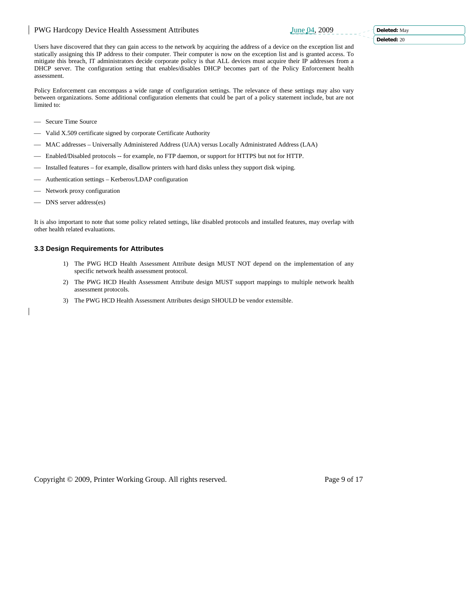Users have discovered that they can gain access to the network by acquiring the address of a device on the exception list and statically assigning this IP address to their computer. Their computer is now on the exception list and is granted access. To mitigate this breach, IT administrators decide corporate policy is that ALL devices must acquire their IP addresses from a DHCP server. The configuration setting that enables/disables DHCP becomes part of the Policy Enforcement health assessment.

Policy Enforcement can encompass a wide range of configuration settings. The relevance of these settings may also vary between organizations. Some additional configuration elements that could be part of a policy statement include, but are not limited to:

- Secure Time Source
- Valid X.509 certificate signed by corporate Certificate Authority
- ⎯ MAC addresses Universally Administered Address (UAA) versus Locally Administrated Address (LAA)
- -- Enabled/Disabled protocols -- for example, no FTP daemon, or support for HTTPS but not for HTTP.
- ⎯ Installed features for example, disallow printers with hard disks unless they support disk wiping.
- Authentication settings Kerberos/LDAP configuration
- Network proxy configuration
- DNS server address(es)

It is also important to note that some policy related settings, like disabled protocols and installed features, may overlap with other health related evaluations.

# **3.3 Design Requirements for Attributes**

- 1) The PWG HCD Health Assessment Attribute design MUST NOT depend on the implementation of any specific network health assessment protocol.
- 2) The PWG HCD Health Assessment Attribute design MUST support mappings to multiple network health assessment protocols.
- 3) The PWG HCD Health Assessment Attributes design SHOULD be vendor extensible.

Copyright © 2009, Printer Working Group. All rights reserved. Page 9 of 17

**Deleted:** May

**Deleted:** 20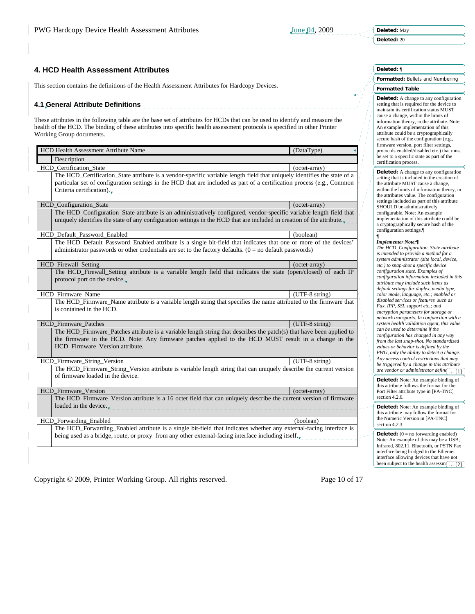# **4. HCD Health Assessment Attributes**

This section contains the definitions of the Health Assessment Attributes for Hardcopy Devices.

# **4.1 General Attribute Definitions**

These attributes in the following table are the base set of attributes for HCDs that can be used to identify and measure the health of the HCD. The binding of these attributes into specific health assessment protocols is specified in other Printer Working Group documents.

| <b>HCD Health Assessment Attribute Name</b>                                                                                                                                                                                                                                    | (DataType)       |
|--------------------------------------------------------------------------------------------------------------------------------------------------------------------------------------------------------------------------------------------------------------------------------|------------------|
| Description                                                                                                                                                                                                                                                                    |                  |
| HCD_Certification_State                                                                                                                                                                                                                                                        | (octet-array)    |
| The HCD_Certification_State attribute is a vendor-specific variable length field that uniquely identifies the state of a<br>particular set of configuration settings in the HCD that are included as part of a certification process (e.g., Common<br>Criteria certification). |                  |
| HCD_Configuration_State                                                                                                                                                                                                                                                        | (octet-array)    |
| The HCD_Configuration_State attribute is an administratively configured, vendor-specific variable length field that<br>uniquely identifies the state of any configuration settings in the HCD that are included in creation of the attribute.                                  |                  |
| HCD Default Password Enabled                                                                                                                                                                                                                                                   | (boolean)        |
| The HCD_Default_Password_Enabled attribute is a single bit-field that indicates that one or more of the devices'<br>administrator passwords or other credentials are set to the factory defaults. $(0 = no$ default passwords)                                                 |                  |
| HCD_Firewall_Setting                                                                                                                                                                                                                                                           | (octet-array)    |
| The HCD_Firewall_Setting attribute is a variable length field that indicates the state (open/closed) of each IP<br>protocol port on the device.<br>________________                                                                                                            |                  |
| HCD_Firmware_Name                                                                                                                                                                                                                                                              | $(UTF-8 string)$ |
| The HCD_Firmware_Name attribute is a variable length string that specifies the name attributed to the firmware that<br>is contained in the HCD.                                                                                                                                |                  |
| <b>HCD</b> Firmware Patches                                                                                                                                                                                                                                                    | $(UTF-8 string)$ |
| The HCD_Firmware_Patches attribute is a variable length string that describes the patch(s) that have been applied to<br>the firmware in the HCD. Note: Any firmware patches applied to the HCD MUST result in a change in the<br>HCD_Firmware_Version attribute.               |                  |
| HCD_Firmware_String_Version                                                                                                                                                                                                                                                    | (UTF-8 string)   |
| The HCD_Firmware_String_Version attribute is variable length string that can uniquely describe the current version<br>of firmware loaded in the device.                                                                                                                        |                  |
| <b>HCD</b> Firmware Version                                                                                                                                                                                                                                                    | (octet-array)    |
| The HCD_Firmware_Version attribute is a 16 octet field that can uniquely describe the current version of firmware<br>loaded in the device                                                                                                                                      |                  |
| HCD Forwarding Enabled                                                                                                                                                                                                                                                         | (boolean)        |
| The HCD_Forwarding_Enabled attribute is a single bit-field that indicates whether any external-facing interface is<br>being used as a bridge, route, or proxy from any other external-facing interface including itself. $\mathbf{v}$                                          |                  |

Copyright © 2009, Printer Working Group. All rights reserved. Page 10 of 17

#### **Deleted:** ¶

**Formatted:** Bullets and Numbering

#### **Formatted Table**

**Deleted:** A change to any configuration setting that is required for the device to maintain its certification status MUST cause a change, within the limits of information theory, in the attribute. Note: An example implementation of this attribute could be a cryptographically secure hash of the configuration (e.g., firmware version, port filter settings, protocols enabled/disabled etc.) that must be set to a specific state as part of the certification process.

#### **Deleted:** A change to any configuration setting that is included in the creation of the attribute MUST cause a change, within the limits of information theory, in the attributes value. The configuration settings included as part of this attribute SHOULD be administratively configurable. Note: An example

implementation of this attribute could be a cryptographically secure hash of the configuration settings.¶

# ¶ *Implementer Note:¶*

*The HCD\_Configuration\_State attribute is intended to provide a method for a system administrator (site local, device, etc.) to snap-shot a specific device configuration state. Examples of configuration information included in this attribute may include such items as default settings for duplex, media type, color mode, language, etc.; enabled or disabled services or features such as Fax, IPP, SSL support etc.; and encryption parameters for storage or network transports. In conjunction with a system health validation agent, this value can be used to determine if the configuration has changed in any way from the last snap-shot. No standardized values or behavior is defined by the PWG, only the ability to detect a change. Any access control restrictions that may be triggered by a change in this attribute are vendor or administrator defined.*  ... [1]

**Deleted:** Note: An example binding of this attribute follows the format for the Port Filter attribute type in [PA-TNC] section 4.2.6.

**Deleted:** Note: An example binding of this attribute may follow the format for the Numeric Version in [PA-TNC] section 4.2.3.

**Deleted:**  $(0 = no forwarding enabled)$ Note: An example of this may be a USB, Infrared, 802.11, Bluetooth, or PSTN Fax interface being bridged to the Ethernet interface allowing devices that have not been subject to the health assessm $\boxed{... [2]}$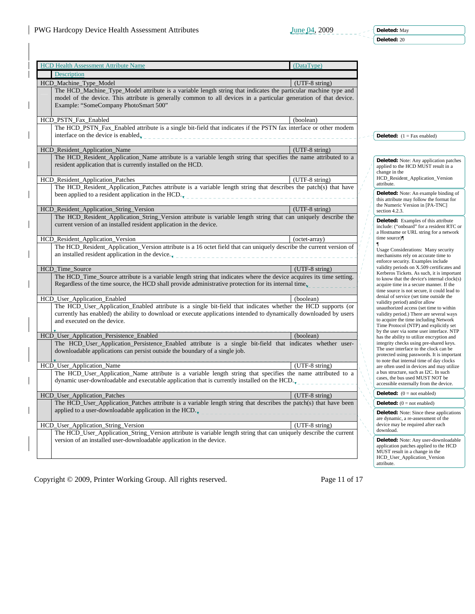**Deleted:** May

**Deleted:** 20

|  | <b>HCD Health Assessment Attribute Name</b>                                                                                                                                                                                          | (DataType)               |                                                                                         |
|--|--------------------------------------------------------------------------------------------------------------------------------------------------------------------------------------------------------------------------------------|--------------------------|-----------------------------------------------------------------------------------------|
|  | Description                                                                                                                                                                                                                          |                          |                                                                                         |
|  | HCD_Machine_Type_Model                                                                                                                                                                                                               | $(UTF-8 \text{ string})$ |                                                                                         |
|  | The HCD_Machine_Type_Model attribute is a variable length string that indicates the particular machine type and<br>model of the device. This attribute is generally common to all devices in a particular generation of that device. |                          |                                                                                         |
|  | Example: "SomeCompany PhotoSmart 500"                                                                                                                                                                                                |                          |                                                                                         |
|  |                                                                                                                                                                                                                                      |                          |                                                                                         |
|  | HCD_PSTN_Fax_Enabled                                                                                                                                                                                                                 | (boolean)                |                                                                                         |
|  | The HCD_PSTN_Fax_Enabled attribute is a single bit-field that indicates if the PSTN fax interface or other modem                                                                                                                     |                          |                                                                                         |
|  |                                                                                                                                                                                                                                      |                          | <b>Deleted:</b> $(1 = \text{Fax enabled})$                                              |
|  |                                                                                                                                                                                                                                      |                          |                                                                                         |
|  | HCD_Resident_Application_Name                                                                                                                                                                                                        | (UTF-8 string)           |                                                                                         |
|  | The HCD_Resident_Application_Name attribute is a variable length string that specifies the name attributed to a                                                                                                                      |                          | <b>Deleted:</b> Note: Any application patches                                           |
|  | resident application that is currently installed on the HCD.                                                                                                                                                                         |                          | applied to the HCD MUST result in a                                                     |
|  | HCD_Resident_Application_Patches                                                                                                                                                                                                     | (UTF-8 string)           | change in the<br>HCD_Resident_Application_Version                                       |
|  | The HCD_Resident_Application_Patches attribute is a variable length string that describes the patch(s) that have                                                                                                                     |                          | attribute.                                                                              |
|  | been applied to a resident application in the HCD. $\mathbf{F}_{\mathbf{r}}$                                                                                                                                                         |                          | <b>Deleted:</b> Note: An example binding of                                             |
|  |                                                                                                                                                                                                                                      |                          | this attribute may follow the format for                                                |
|  | HCD_Resident_Application_String_Version                                                                                                                                                                                              | $(UTF-8 \text{ string})$ | the Numeric Version in [PA-TNC]<br>section 4.2.3.                                       |
|  | The HCD Resident Application String Version attribute is variable length string that can uniquely describe the                                                                                                                       |                          |                                                                                         |
|  | current version of an installed resident application in the device.                                                                                                                                                                  |                          | <b>Deleted:</b> Examples of this attribute<br>include: ("onboard" for a resident RTC or |
|  |                                                                                                                                                                                                                                      |                          | a Hostname or URL string for a network                                                  |
|  | HCD_Resident_Application_Version                                                                                                                                                                                                     | (octet-array)            | time source)                                                                            |
|  | The HCD_Resident_Application_Version attribute is a 16 octet field that can uniquely describe the current version of                                                                                                                 |                          | <b>Usage Considerations: Many security</b>                                              |
|  | an installed resident application in the device<br>__________________________________                                                                                                                                                |                          | mechanisms rely on accurate time to<br>enforce security. Examples include               |
|  | HCD_Time_Source                                                                                                                                                                                                                      | $(UTF-8 \text{ string})$ | validity periods on X.509 certificates and                                              |
|  | The HCD_Time_Source attribute is a variable length string that indicates where the device acquires its time setting.                                                                                                                 |                          | Kerberos Tickets. As such, it is important                                              |
|  | Regardless of the time source, the HCD shall provide administrative protection for its internal time.                                                                                                                                |                          | to know that the device's internal clock(s)<br>acquire time in a secure manner. If the  |
|  |                                                                                                                                                                                                                                      |                          | time source is not secure, it could lead to                                             |
|  | HCD_User_Application_Enabled                                                                                                                                                                                                         | (boolean)                | denial of service (set time outside the<br>validity period) and/or allow                |
|  | The HCD_User_Application_Enabled attribute is a single bit-field that indicates whether the HCD supports (or                                                                                                                         |                          | unauthorized access (set time to within                                                 |
|  | currently has enabled) the ability to download or execute applications intended to dynamically downloaded by users                                                                                                                   |                          | validity period.) There are several ways                                                |
|  | and executed on the device.                                                                                                                                                                                                          |                          | to acquire the time including Network<br>Time Protocol (NTP) and explicitly set         |
|  | HCD_User_Application_Persistence_Enabled                                                                                                                                                                                             | (boolean)                | by the user via some user interface. NTP                                                |
|  | The HCD_User_Application_Persistence_Enabled attribute is a single bit-field that indicates whether user-                                                                                                                            |                          | has the ability to utilize encryption and<br>integrity checks using pre-shared keys.    |
|  | downloadable applications can persist outside the boundary of a single job.                                                                                                                                                          |                          | The user interface to the clock can be                                                  |
|  |                                                                                                                                                                                                                                      |                          | protected using passwords. It is important<br>to note that internal time of day clocks  |
|  | HCD_User_Application_Name                                                                                                                                                                                                            | (UTF-8 string)           | are often used in devices and may utilize                                               |
|  | The HCD_User_Application_Name attribute is a variable length string that specifies the name attributed to a                                                                                                                          |                          | a bus structure, such as I2C. In such<br>cases, the bus used MUST NOT be                |
|  | dynamic user-downloadable and executable application that is currently installed on the HCD.                                                                                                                                         |                          | accessible externally from the device.                                                  |
|  |                                                                                                                                                                                                                                      | $(UTF-8 string)$         | <b>Deleted:</b> $(0 = not enabled)$                                                     |
|  | HCD_User_Application_Patches<br>The HCD_User_Application_Patches attribute is a variable length string that describes the patch(s) that have been                                                                                    |                          | <b>Deleted:</b> $(0 = not enabled)$                                                     |
|  | applied to a user-downloadable application in the HCD. $_{\text{v}}$                                                                                                                                                                 |                          |                                                                                         |
|  |                                                                                                                                                                                                                                      |                          | <b>Deleted:</b> Note: Since these applications<br>are dynamic, a re-assessment of the   |
|  | HCD_User_Application_String_Version                                                                                                                                                                                                  | (UTF-8 string)           | device may be required after each                                                       |
|  | The HCD_User_Application_String_Version attribute is variable length string that can uniquely describe the current                                                                                                                   |                          | download.                                                                               |
|  | version of an installed user-downloadable application in the device.                                                                                                                                                                 |                          | Deleted: Note: Any user-downloadable                                                    |
|  |                                                                                                                                                                                                                                      |                          | application patches applied to the HCD<br>MUST result in a change in the                |
|  |                                                                                                                                                                                                                                      |                          | HCD User Application Version                                                            |
|  |                                                                                                                                                                                                                                      |                          | attribute.                                                                              |

Copyright © 2009, Printer Working Group. All rights reserved. Page 11 of 17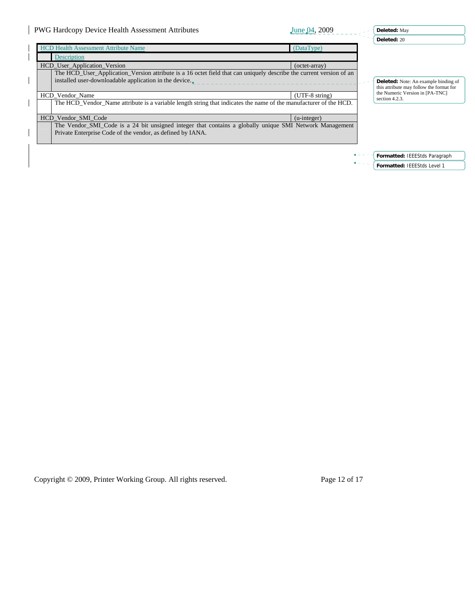| PWG Hardcopy Device Health Assessment Attributes<br>June 04, 2009                                                   | Deleted: May                                                                |
|---------------------------------------------------------------------------------------------------------------------|-----------------------------------------------------------------------------|
|                                                                                                                     | Deleted: 20                                                                 |
| <b>HCD Health Assessment Attribute Name</b><br>(DataType)                                                           |                                                                             |
| Description                                                                                                         |                                                                             |
| HCD_User_Application_Version<br>(octet-array)                                                                       |                                                                             |
| The HCD User Application Version attribute is a 16 octet field that can uniquely describe the current version of an |                                                                             |
| installed user-downloadable application in the device.                                                              | <b>Deleted:</b> Note: An example binding of                                 |
|                                                                                                                     | this attribute may follow the format for<br>the Numeric Version in [PA-TNC] |
| $(UTF-8 string)$<br>HCD Vendor Name                                                                                 | section 4.2.3.                                                              |
| The HCD Vendor Name attribute is a variable length string that indicates the name of the manufacturer of the HCD.   |                                                                             |
| HCD Vendor SMI Code<br>$(u\text{-integer})$                                                                         |                                                                             |
| The Vendor SMI Code is a 24 bit unsigned integer that contains a globally unique SMI Network Management             |                                                                             |
| Private Enterprise Code of the vendor, as defined by IANA.                                                          |                                                                             |
|                                                                                                                     |                                                                             |
|                                                                                                                     |                                                                             |
|                                                                                                                     | Formatted: IEEEStds Paragraph                                               |
|                                                                                                                     | Formatted: IEEEStds Level 1                                                 |

Copyright © 2009, Printer Working Group. All rights reserved. Page 12 of 17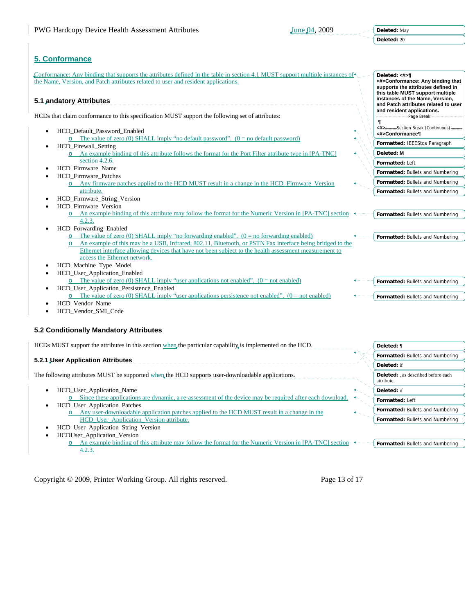# **5. Conformance**

Conformance: Any binding that supports the attributes defined in the table in section 4.1 MUST support multiple instances of **Deleted: <#>¶** the Name, Version, and Patch attributes related to user and resident applications. **<#>Conformance: Any binding that supports the attributes defined in this table MUST support multiple instances of the Name, Version, 5.1 andatory Attributes**  <u> 2000 - 2000 - 2000 -</u> **and Patch attributes related to user and resident applications.**  HCDs that claim conformance to this specification MUST support the following set of attributes: Page Break  **¶ <#>** Section Break (Continuous) • HCD\_Default\_Password\_Enabled **<#>Conformance¶**  $\circ$  The value of zero (0) SHALL imply "no default password". (0 = no default password) **Formatted:** IEEEStds Paragraph • HCD\_Firewall\_Setting An example binding of this attribute follows the format for the Port Filter attribute type in [PA-TNC] **Deleted: M** section 4.2.6. **Formatted:** Left • HCD\_Firmware\_Name **Formatted:** Bullets and Numbering • HCD\_Firmware\_Patches **Formatted:** Bullets and Numbering Any firmware patches applied to the HCD MUST result in a change in the HCD\_Firmware\_Version attribute. **Formatted:** Bullets and Numbering • HCD\_Firmware\_String\_Version **HCD** Firmware Version  $\circ$  An example binding of this attribute may follow the format for the Numeric Version in [PA-TNC] section  $\bullet$  -**Formatted:** Bullets and Numbering 4.2.3. • HCD\_Forwarding\_Enabled The value of zero (0) SHALL imply "no forwarding enabled".  $(0 = no$  forwarding enabled) **Formatted:** Bullets and Numbering An example of this may be a USB, Infrared, 802.11, Bluetooth, or PSTN Fax interface being bridged to the Ethernet interface allowing devices that have not been subject to the health assessment measurement to access the Ethernet network. • HCD\_Machine\_Type\_Model • HCD\_User\_Application\_Enabled  $\overrightarrow{O}$  The value of zero (0) SHALL imply "user applications not enabled". (0 = not enabled) **Formatted:** Bullets and Numbering • HCD\_User\_Application\_Persistence\_Enabled The value of zero (0) SHALL imply "user applications persistence not enabled". ( $0 = not$  enabled) **Formatted:** Bullets and Numbering HCD Vendor Name • HCD\_Vendor\_SMI\_Code **5.2 Conditionally Mandatory Attributes**  HCDs MUST support the attributes in this section when the particular capability is implemented on the HCD. **Deleted:** ¶ **Formatted:** Bullets and Numbering **5.2.1 User Application Attributes Deleted:** if The following attributes MUST be supported when the HCD supports user-downloadable applications. **Deleted:** , as described before each attribute, • HCD\_User\_Application\_Name **Deleted:** ifo Since these applications are dynamic, a re-assessment of the device may be required after each download. **Formatted:** Left

- HCD\_User\_Application\_Patches Any user-downloadable application patches applied to the HCD MUST result in a change in the HCD\_User\_Application\_Version attribute.
- HCD\_User\_Application\_String\_Version
- HCDUser\_Application\_Version

 $\circ$  An example binding of this attribute may follow the format for the Numeric Version in [PA-TNC] section  $\bullet$ --4.2.3. **Formatted:** Bullets and Numbering

Copyright © 2009, Printer Working Group. All rights reserved. Page 13 of 17

**Formatted:** Bullets and Numbering **Formatted:** Bullets and Numbering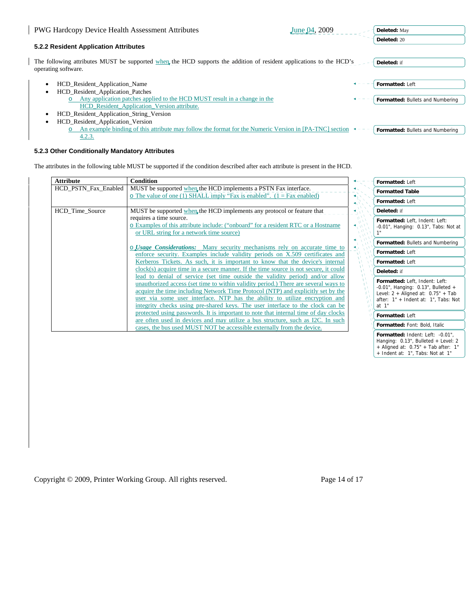| <b>PWG Hardcopy Device Health Assessment Attributes</b>                                                                                    | June 04, 2009 | Deleted: May                     |
|--------------------------------------------------------------------------------------------------------------------------------------------|---------------|----------------------------------|
| 5.2.2 Resident Application Attributes                                                                                                      |               | Deleted: 20                      |
| The following attributes MUST be supported when the HCD supports the addition of resident applications to the HCD's<br>operating software. |               | Deleted: if                      |
| <b>HCD</b> Resident Application Name<br><b>HCD</b> Resident Application Patches                                                            |               | Formatted: Left                  |
| Any application patches applied to the HCD MUST result in a change in the<br>HCD_Resident_Application_Version attribute.                   |               | Formatted: Bullets and Numbering |
| HCD_Resident_Application_String_Version                                                                                                    |               |                                  |
| HCD_Resident_Application_Version                                                                                                           |               |                                  |
| An example binding of this attribute may follow the format for the Numeric Version in $[PA-TNC]$ section<br>4.2.3.                         |               | Formatted: Bullets and Numbering |

# **5.2.3 Other Conditionally Mandatory Attributes**

The attributes in the following table MUST be supported if the condition described after each attribute is present in the HCD.

| <b>Attribute</b>     | <b>Condition</b>                                                                                                                                                     |                                 | Formatted: Left                                                              |
|----------------------|----------------------------------------------------------------------------------------------------------------------------------------------------------------------|---------------------------------|------------------------------------------------------------------------------|
| HCD PSTN Fax Enabled | MUST be supported when the HCD implements a PSTN Fax interface.                                                                                                      |                                 | <b>Formatted Table</b>                                                       |
|                      | o The value of one (1) SHALL imply "Fax is enabled". $(1 = Fax$ enabled)                                                                                             |                                 | Formatted: Left                                                              |
|                      |                                                                                                                                                                      | $\blacktriangleleft$ $\sqrt{N}$ |                                                                              |
| HCD Time Source      | MUST be supported when the HCD implements any protocol or feature that                                                                                               |                                 | Deleted: if                                                                  |
|                      | requires a time source.                                                                                                                                              |                                 | Formatted: Left, Indent: Left:                                               |
|                      | o Examples of this attribute include: ("onboard" for a resident RTC or a Hostname                                                                                    |                                 | $-0.01$ ", Hanging: $0.13$ ", Tabs: Not at                                   |
|                      | or URL string for a network time source)                                                                                                                             |                                 |                                                                              |
|                      |                                                                                                                                                                      |                                 | Formatted: Bullets and Numbering                                             |
|                      | o <i>Usage Considerations:</i> Many security mechanisms rely on accurate time to                                                                                     |                                 | Formatted: Left                                                              |
|                      | enforce security. Examples include validity periods on X.509 certificates and                                                                                        |                                 |                                                                              |
|                      | Kerberos Tickets. As such, it is important to know that the device's internal                                                                                        |                                 | Formatted: Left                                                              |
|                      | clock(s) acquire time in a secure manner. If the time source is not secure, it could                                                                                 |                                 | Deleted: if                                                                  |
|                      | lead to denial of service (set time outside the validity period) and/or allow<br>unauthorized access (set time to within validity period.) There are several ways to |                                 | Formatted: Left, Indent: Left:<br>-0.01", Hanging: $0.13$ ", Bulleted +      |
|                      | acquire the time including Network Time Protocol (NTP) and explicitly set by the                                                                                     |                                 | Level: $2 +$ Aligned at: $0.75" +$ Tab                                       |
|                      | user via some user interface. NTP has the ability to utilize encryption and                                                                                          |                                 | after: 1" + Indent at: 1", Tabs: Not                                         |
|                      | integrity checks using pre-shared keys. The user interface to the clock can be                                                                                       |                                 | at 1"                                                                        |
|                      | protected using passwords. It is important to note that internal time of day clocks                                                                                  |                                 | Formatted: Left                                                              |
|                      | are often used in devices and may utilize a bus structure, such as I2C. In such<br>cases, the bus used MUST NOT be accessible externally from the device.            |                                 | Formatted: Font: Bold, Italic                                                |
|                      |                                                                                                                                                                      |                                 | Formatted: Indent: Left: -0.01",                                             |
|                      |                                                                                                                                                                      |                                 | Hanging: 0.13", Bulleted + Level: 2<br>+ Aligned at: $0.75"$ + Tab after: 1" |
|                      |                                                                                                                                                                      |                                 | + Indent at: 1", Tabs: Not at 1"                                             |

Copyright © 2009, Printer Working Group. All rights reserved. Page 14 of 17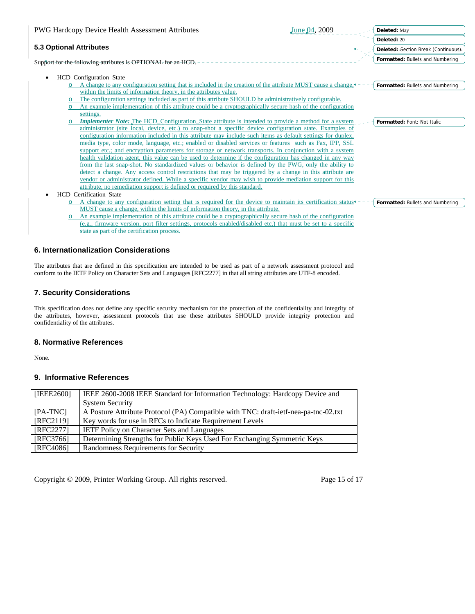|                                                                                                         | <b>PWG Hardcopy Device Health Assessment Attributes</b>                                                      | June 04, 2009 | Deleted: May                         |  |  |
|---------------------------------------------------------------------------------------------------------|--------------------------------------------------------------------------------------------------------------|---------------|--------------------------------------|--|--|
|                                                                                                         |                                                                                                              |               | Deleted: 20                          |  |  |
| <b>5.3 Optional Attributes</b>                                                                          |                                                                                                              |               | Deleted: Section Break (Continuous). |  |  |
|                                                                                                         | Support for the following attributes is OPTIONAL for an HCD.                                                 |               | Formatted: Bullets and Numbering     |  |  |
| $\bullet$                                                                                               | HCD_Configuration_State                                                                                      |               |                                      |  |  |
|                                                                                                         | A change to any configuration setting that is included in the creation of the attribute MUST cause a change. |               | Formatted: Bullets and Numbering     |  |  |
|                                                                                                         | within the limits of information theory, in the attributes value.                                            |               |                                      |  |  |
| $\circ$                                                                                                 | The configuration settings included as part of this attribute SHOULD be administratively configurable.       |               |                                      |  |  |
|                                                                                                         | An example implementation of this attribute could be a cryptographically secure hash of the configuration    |               |                                      |  |  |
|                                                                                                         | settings.                                                                                                    |               |                                      |  |  |
|                                                                                                         | <b>Implementer Note:</b> The HCD Configuration State attribute is intended to provide a method for a system  |               | Formatted: Font: Not Italic          |  |  |
|                                                                                                         | administrator (site local, device, etc.) to snap-shot a specific device configuration state. Examples of     |               |                                      |  |  |
|                                                                                                         | configuration information included in this attribute may include such items as default settings for duplex,  |               |                                      |  |  |
|                                                                                                         | media type, color mode, language, etc.; enabled or disabled services or features such as Fax, IPP, SSL       |               |                                      |  |  |
|                                                                                                         | support etc.; and encryption parameters for storage or network transports. In conjunction with a system      |               |                                      |  |  |
|                                                                                                         | health validation agent, this value can be used to determine if the configuration has changed in any way     |               |                                      |  |  |
|                                                                                                         | from the last snap-shot. No standardized values or behavior is defined by the PWG, only the ability to       |               |                                      |  |  |
|                                                                                                         | detect a change. Any access control restrictions that may be triggered by a change in this attribute are     |               |                                      |  |  |
| vendor or administrator defined. While a specific vendor may wish to provide mediation support for this |                                                                                                              |               |                                      |  |  |
|                                                                                                         | attribute, no remediation support is defined or required by this standard.                                   |               |                                      |  |  |
| $\bullet$                                                                                               | <b>HCD</b> Certification State                                                                               |               |                                      |  |  |
|                                                                                                         | A change to any configuration setting that is required for the device to maintain its certification status   |               | Formatted: Bullets and Numbering     |  |  |
|                                                                                                         | MUST cause a change, within the limits of information theory, in the attribute.                              |               |                                      |  |  |

o An example implementation of this attribute could be a cryptographically secure hash of the configuration (e.g., firmware version, port filter settings, protocols enabled/disabled etc.) that must be set to a specific state as part of the certification process.

# **6. Internationalization Considerations**

The attributes that are defined in this specification are intended to be used as part of a network assessment protocol and conform to the IETF Policy on Character Sets and Languages [RFC2277] in that all string attributes are UTF-8 encoded.

# **7. Security Considerations**

This specification does not define any specific security mechanism for the protection of the confidentiality and integrity of the attributes, however, assessment protocols that use these attributes SHOULD provide integrity protection and confidentiality of the attributes.

### **8. Normative References**

None.

# **9. Informative References**

| [IEEE2600] | IEEE 2600-2008 IEEE Standard for Information Technology: Hardcopy Device and        |
|------------|-------------------------------------------------------------------------------------|
|            | <b>System Security</b>                                                              |
| [PA-TNC]   | A Posture Attribute Protocol (PA) Compatible with TNC: draft-ietf-nea-pa-tnc-02.txt |
| [RFC2119]  | Key words for use in RFCs to Indicate Requirement Levels                            |
| [RFC2277]  | <b>IETF Policy on Character Sets and Languages</b>                                  |
| [RFC3766]  | Determining Strengths for Public Keys Used For Exchanging Symmetric Keys            |
| [RFC4086]  | Randomness Requirements for Security                                                |

Copyright © 2009, Printer Working Group. All rights reserved. Page 15 of 17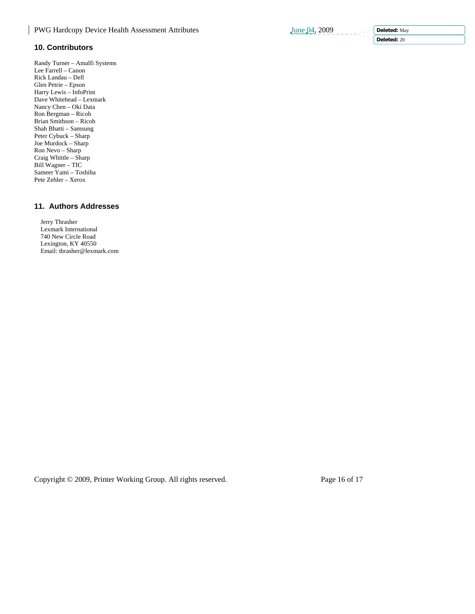**10. Contributors**  Randy Turner – Amalfi Systems

Lee Farrell – Canon Rick Landau – Dell Glen Petrie – Epson Harry Lewis – InfoPrint Dave Whitehead – Lexmark Nancy Chen – Oki Data Ron Bergman – Ricoh Brian Smithson – Ricoh Shah Bhatti – Samsung Peter Cybuck – Sharp Joe Murdock – Sharp Ron Nevo – Sharp Craig Whittle – Sharp Bill Wagner – TIC Sameer Yami – Toshiba Pete Zehler – Xerox

# **11. Authors Addresses**

 Jerry Thrasher Lexmark International 740 New Circle Road Lexington, KY 40550 Email: thrasher@lexmark.com

Copyright © 2009, Printer Working Group. All rights reserved. Page 16 of 17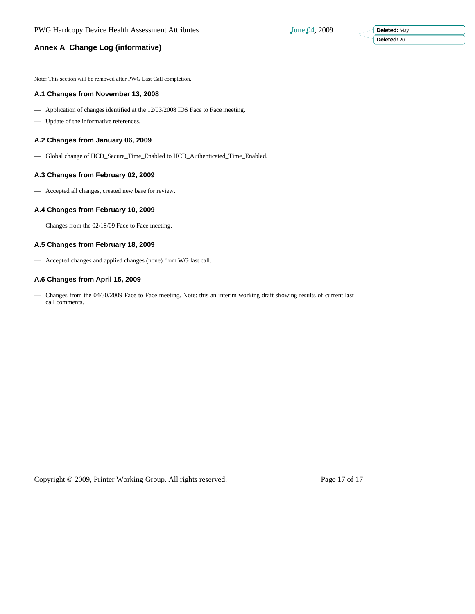**Deleted:** May **Deleted:** 20

# **Annex A Change Log (informative)**

Note: This section will be removed after PWG Last Call completion.

#### **A.1 Changes from November 13, 2008**

- Application of changes identified at the 12/03/2008 IDS Face to Face meeting.
- ⎯ Update of the informative references.

# **A.2 Changes from January 06, 2009**

⎯ Global change of HCD\_Secure\_Time\_Enabled to HCD\_Authenticated\_Time\_Enabled.

# **A.3 Changes from February 02, 2009**

- Accepted all changes, created new base for review.

# **A.4 Changes from February 10, 2009**

- Changes from the 02/18/09 Face to Face meeting.

### **A.5 Changes from February 18, 2009**

- Accepted changes and applied changes (none) from WG last call.

### **A.6 Changes from April 15, 2009**

- Changes from the 04/30/2009 Face to Face meeting. Note: this an interim working draft showing results of current last call comments.

Copyright © 2009, Printer Working Group. All rights reserved. Page 17 of 17